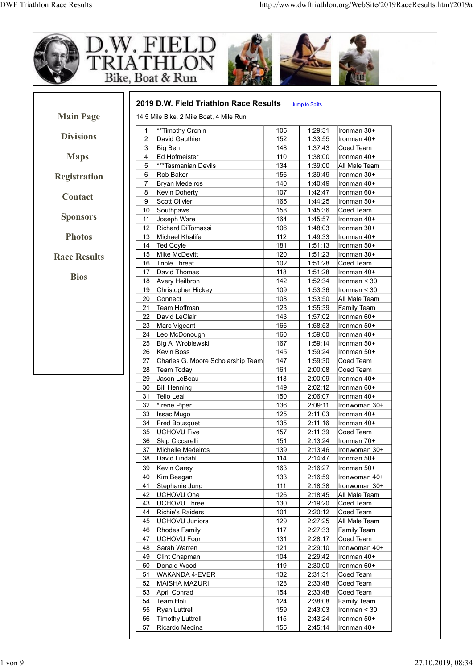

|                     |                     | D.W. FIELD                                                                        |            |                       |                               |
|---------------------|---------------------|-----------------------------------------------------------------------------------|------------|-----------------------|-------------------------------|
|                     |                     | Bike, Boat & Run                                                                  |            |                       |                               |
| <b>Main Page</b>    |                     | 2019 D.W. Field Triathlon Race Results<br>14.5 Mile Bike, 2 Mile Boat, 4 Mile Run |            | <b>Jump to Splits</b> |                               |
|                     |                     | **Timothy Cronin                                                                  | 105        | 1:29:31               | Ironman 30+                   |
| <b>Divisions</b>    | $\overline{2}$<br>3 | David Gauthier                                                                    | 152        | 1:33:55<br>1:37:43    | Ironman 40+<br>Coed Team      |
|                     | $\overline{4}$      | Big Ben<br>Ed Hofmeister                                                          | 148<br>110 | 1:38:00               | Ironman 40+                   |
|                     | 5                   | ***Tasmanian Devils                                                               | 134        | 1:39:00               | All Male Team                 |
| <b>Registration</b> | 6                   | Rob Baker                                                                         | 156        | 1:39:49               | Ironman 30+                   |
|                     | $\overline{7}$<br>8 | <b>Bryan Medeiros</b><br>Kevin Doherty                                            | 140<br>107 | 1:40:49<br>1:42:47    | Ironman 40+<br>Ironman 60+    |
| Contact             | 9                   | Scott Olivier                                                                     | 165        | 1:44:25               | Ironman 50+                   |
|                     | 10                  | Southpaws                                                                         | 158        | 1:45:36               | Coed Team                     |
| <b>Sponsors</b>     | 11                  | Joseph Ware                                                                       | 164        | 1:45:57               | Ironman 40+                   |
| <b>Photos</b>       | 12<br>13            | Richard DiTomassi<br>Michael Khalife                                              | 106<br>112 | 1:48:03<br>1:49:33    | Ironman 30+<br>Ironman 40+    |
|                     | 14                  | Ted Coyle                                                                         | 181        | 1:51:13               | Ironman 50+                   |
| <b>Race Results</b> | 15                  | Mike McDevitt                                                                     | 120        | 1:51:23               | Ironman 30+                   |
|                     | 16                  | Triple Threat                                                                     | 102        | 1:51:28               | Coed Team                     |
|                     | 17<br>18            | David Thomas<br>Avery Heilbron                                                    | 118<br>142 | 1:51:28<br>1:52:34    | Ironman 40+<br>Ironman $<$ 30 |
|                     | 19                  | Christopher Hickey                                                                | 109        | 1:53:36               | Ironman $<$ 30                |
|                     | 20                  | Connect                                                                           | 108        | 1:53:50               | All Male Team                 |
|                     | 21                  | Team Hoffman                                                                      | 123        | 1:55:39               | Family Team                   |
|                     | 22<br>23            | David LeClair<br>Marc Vigeant                                                     | 143<br>166 | 1:57:02<br>1:58:53    | Ironman 60+<br>Ironman 50+    |
|                     | 24                  | Leo McDonough                                                                     | 160        | 1:59:00               | Ironman 40+                   |
|                     | 25                  | Big Al Wroblewski                                                                 | 167        | 1:59:14               | Ironman 50+                   |
|                     | 26                  | Kevin Boss                                                                        | 145        | 1:59:24               | Ironman 50+                   |
|                     | 27<br>28            | Charles G. Moore Scholarship Team<br>Team Today                                   | 147<br>161 | 1:59:30<br>2:00:08    | Coed Team<br>Coed Team        |
|                     | 29                  | Jason LeBeau                                                                      | 113        | 2:00:09               | Ironman 40+                   |
|                     | 30                  | <b>Bill Henning</b>                                                               | 149        | 2:02:12               | Ironman 60+                   |
|                     | 31                  | Telio Leal                                                                        | 150        | 2:06:07               | Ironman 40+                   |
|                     | 32<br>33            | *Irene Piper<br><b>Issac Mugo</b>                                                 | 136<br>125 | 2:09:11<br>2:11:03    | Ironwoman 30+<br>Ironman 40+  |
|                     | 34                  | <b>Fred Bousquet</b>                                                              | 135        | 2:11:16               | Ironman 40+                   |
|                     | 35                  | UCHOVU Five                                                                       | 157        | 2:11:39               | Coed Team                     |
|                     | 36                  | Skip Ciccarelli                                                                   | 151        | 2:13:24               | Ironman 70+                   |
|                     | 37<br>38            | Michelle Medeiros<br>David Lindahl                                                | 139<br>114 | 2:13:46<br>2:14:47    | Ironwoman 30+                 |
|                     | 39                  | Kevin Carey                                                                       | 163        | 2:16:27               | Ironman 50+<br>Ironman 50+    |
|                     | 40                  | Kim Beagan                                                                        | 133        | 2:16:59               | Ironwoman 40+                 |
|                     | 41                  | Stephanie Jung                                                                    | 111        | 2:18:38               | Ironwoman 30+                 |
|                     | 42                  | UCHOVU One                                                                        | 126        | 2:18:45               | All Male Team                 |
|                     | 43<br>44            | UCHOVU Three<br>Richie's Raiders                                                  | 130<br>101 | 2:19:20<br>2:20:12    | Coed Team<br>Coed Team        |
|                     | 45                  | UCHOVU Juniors                                                                    | 129        | 2:27:25               | All Male Team                 |
|                     | 46                  | Rhodes Family                                                                     | 117        | 2:27:33               | Family Team                   |
|                     | 47                  | <b>UCHOVU Four</b>                                                                | 131        | 2:28:17               | Coed Team                     |
|                     | 48<br>49            | Sarah Warren<br>Clint Chapman                                                     | 121<br>104 | 2:29:10<br>2:29:42    | Ironwoman 40+<br>Ironman 40+  |
|                     | 50                  | Donald Wood                                                                       | 119        | 2:30:00               | Ironman 60+                   |
|                     | 51                  | WAKANDA 4-EVER                                                                    | 132        | 2:31:31               | Coed Team                     |
|                     | 52                  | <b>MAISHA MAZURI</b>                                                              | 128        | 2:33:48               | Coed Team                     |
|                     | 53<br>54            | April Conrad<br>Team Holi                                                         | 154<br>124 | 2:33:48<br>2:38:08    | Coed Team<br>Family Team      |
|                     | 55                  | Ryan Luttrell                                                                     | 159        | 2:43:03               | Ironman $<$ 30                |
|                     | 56                  | Timothy Luttrell                                                                  | 115        | 2:43:24               | Ironman 50+                   |
|                     | 57                  | Ricardo Medina                                                                    | 155        |                       |                               |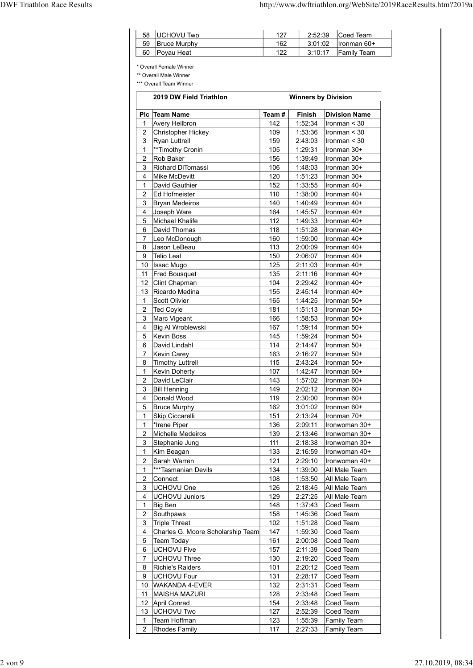|                                | UCHOVU Two                                         | 127        |                               |                                                |
|--------------------------------|----------------------------------------------------|------------|-------------------------------|------------------------------------------------|
| 58<br>59<br>60                 | <b>Bruce Murphy</b><br>Poyau Heat                  | 162<br>122 | 2:52:39<br>3:01:02<br>3:10:17 | Coed Team<br>Ironman 60+<br><b>Family Team</b> |
|                                | * Overall Female Winner<br>** Overall Male Winner  |            |                               |                                                |
|                                | *** Overall Team Winner<br>2019 DW Field Triathlon |            | <b>Winners by Division</b>    |                                                |
|                                | Plc Team Name                                      | Team#      | Finish                        | <b>Division Name</b>                           |
| $\mathbf{1}$                   | <b>Avery Heilbron</b>                              | 142        | 1:52:34                       | Ironman < 30                                   |
| 2<br>3                         | Christopher Hickey<br>Ryan Luttrell                | 109<br>159 | 1:53:36<br>2:43:03            | Ironman < 30<br>Ironman < 30                   |
| $\mathbf{1}$                   | **Timothy Cronin                                   | 105        | 1:29:31                       | Ironman 30+                                    |
| 2                              | Rob Baker                                          | 156        | 1:39:49                       | Ironman 30+                                    |
| 3<br>4                         | Richard DiTomassi<br>Mike McDevitt                 | 106<br>120 | 1:48:03<br>1:51:23            | Ironman 30+<br>Ironman 30+                     |
| 1                              | David Gauthier                                     | 152        | 1:33:55                       | Ironman 40+                                    |
| 2<br>3                         | Ed Hofmeister<br><b>Bryan Medeiros</b>             | 110<br>140 | 1:38:00<br>1:40:49            | Ironman 40+<br>Ironman 40+                     |
| 4                              | Joseph Ware                                        | 164        | 1:45:57                       | Ironman 40+                                    |
| 5<br>6                         | Michael Khalife<br>David Thomas                    | 112<br>118 | 1:49:33<br>1:51:28            | Ironman 40+<br>Ironman 40+                     |
| 7                              | Leo McDonough                                      | 160        | 1:59:00                       | Ironman 40+                                    |
| 8<br>9                         | Jason LeBeau<br>Telio Leal                         | 113<br>150 | 2:00:09<br>2:06:07            | ∣lronman 40+<br>Ironman 40+                    |
|                                | 10 Issac Mugo                                      | 125        | 2:11:03                       | Ironman 40+                                    |
| 11                             | <b>Fred Bousquet</b><br>12 Clint Chapman           | 135<br>104 | 2:11:16<br>2:29:42            | Ironman 40+<br>Ironman 40+                     |
| 13                             | Ricardo Medina                                     | 155        | 2:45:14                       | Ironman 40+                                    |
| $\mathbf{1}$                   | Scott Olivier                                      | 165        | 1:44:25                       | Ironman 50+                                    |
| $\overline{2}$<br>3            | Ted Coyle<br>Marc Vigeant                          | 181<br>166 | 1:51:13<br>1:58:53            | Ironman 50+<br>Ironman 50+                     |
| $\overline{4}$                 | Big Al Wroblewski                                  | 167        | 1:59:14                       | Ironman 50+                                    |
| 5<br>6                         | Kevin Boss<br>David Lindahl                        | 145<br>114 | 1:59:24<br>2:14:47            | Ironman 50+<br>Ironman 50+                     |
| $\overline{7}$                 | Kevin Carey                                        | 163        | 2:16:27                       | Ironman 50+                                    |
| 8                              | Timothy Luttrell                                   | 115        | 2:43:24                       | Ironman 50+                                    |
| $\mathbf{1}$<br>$\overline{2}$ | Kevin Doherty<br>David LeClair                     | 107<br>143 | 1:42:47<br>1:57:02            | Ironman 60+<br>Ironman 60+                     |
| 3                              | <b>Bill Henning</b>                                | 149        | 2:02:12                       | Ironman 60+                                    |
| 4<br>5                         | Donald Wood<br><b>Bruce Murphy</b>                 | 119<br>162 | 2:30:00<br>3:01:02            | Ironman 60+<br>Ironman 60+                     |
| $\mathbf{1}$<br>$\mathbf{1}$   | Skip Ciccarelli<br>*Irene Piper                    | 151<br>136 | 2:13:24<br>2:09:11            | Ironman 70+<br>Ironwoman 30+                   |
| $\overline{2}$                 | Michelle Medeiros                                  | 139        | 2:13:46                       | Ironwoman 30+                                  |
| 3<br>$\mathbf{1}$              | Stephanie Jung                                     | 111<br>133 | 2:18:38<br>2:16:59            | Ironwoman 30+<br>Ironwoman 40+                 |
| $\overline{2}$                 | Kim Beagan<br>Sarah Warren                         | 121        | 2:29:10                       | Ironwoman 40+                                  |
| $\mathbf{1}$                   | ***Tasmanian Devils                                | 134        | 1:39:00                       | All Male Team                                  |
| $\overline{2}$<br>3            | Connect<br>UCHOVU One                              | 108<br>126 | 1:53:50<br>2:18:45            | All Male Team<br>All Male Team                 |
| $\overline{4}$                 | UCHOVU Juniors                                     | 129        | 2:27:25                       | All Male Team                                  |
| $\mathbf{1}$<br>$\overline{2}$ | Big Ben<br>Southpaws                               | 148<br>158 | 1:37:43<br>1:45:36            | Coed Team<br>Coed Team                         |
| 3                              | Triple Threat                                      | 102        | 1:51:28                       | Coed Team                                      |
| $\overline{4}$                 | Charles G. Moore Scholarship Team                  | 147        | 1:59:30                       | Coed Team                                      |
| $5\phantom{.0}$<br>6           | Team Today<br>UCHOVU Five                          | 161<br>157 | 2:00:08<br>2:11:39            | Coed Team<br>Coed Team                         |
| $\overline{7}$                 | UCHOVU Three                                       | 130        | 2:19:20                       | Coed Team                                      |
| 8                              | Richie's Raiders                                   | 101        | 2:20:12                       | Coed Team                                      |
| 9<br>10                        | <b>UCHOVU Four</b><br>WAKANDA 4-EVER               | 131<br>132 | 2:28:17<br>2:31:31            | Coed Team<br>Coed Team                         |
| 11                             | MAISHA MAZURI                                      | 128        | 2:33:48                       | Coed Team                                      |
|                                | 12 April Conrad<br>13   UCHOVU Two                 | 154<br>127 | 2:33:48<br>2:52:39            | Coed Team<br>Coed Team                         |
| $\mathbf{1}$                   | Team Hoffman                                       | 123        | 1:55:39                       | Family Team                                    |
| 2                              | Rhodes Family                                      | 117        | 2:27:33                       | Family Team                                    |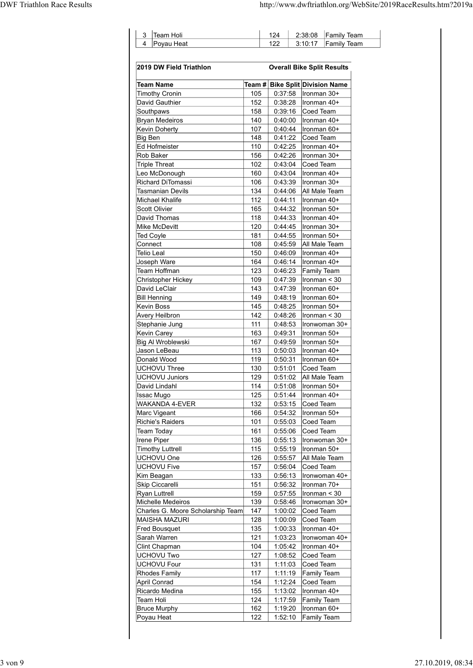|   | Team Holi  | 2:38:08 | <b>Family Team</b> |
|---|------------|---------|--------------------|
| 4 | Povau Heat | 3.10.17 | <b>Family Team</b> |

|                                                |               | 124                | 2:38:08<br><b>Family Team</b>                  |
|------------------------------------------------|---------------|--------------------|------------------------------------------------|
| Poyau Heat<br>4                                |               | 122                | 3:10:17<br><b>Family Team</b>                  |
| 2019 DW Field Triathlon                        |               |                    | <b>Overall Bike Split Results</b>              |
| <b>Team Name</b>                               | Team #<br>105 | 0:37:58            | <b>Bike Split Division Name</b><br>Ironman 30+ |
| <b>Timothy Cronin</b><br>David Gauthier        | 152           | 0:38:28            | Ironman 40+                                    |
| Southpaws                                      | 158           | 0:39:16            | Coed Team                                      |
| <b>Bryan Medeiros</b><br><b>Kevin Doherty</b>  | 140<br>107    | 0:40:00<br>0:40:44 | Ironman 40+<br>Ironman 60+                     |
| Big Ben                                        | 148           | 0:41:22            | Coed Team                                      |
| Ed Hofmeister<br>Rob Baker                     | 110<br>156    | 0:42:25<br>0:42:26 | Ironman 40+<br>Ironman 30+                     |
| <b>Triple Threat</b>                           | 102           | 0:43:04            | Coed Team                                      |
| Leo McDonough                                  | 160           | 0:43:04            | ∣Ironman 40+                                   |
| Richard DiTomassi<br><b>Tasmanian Devils</b>   | 106<br>134    | 0:43:39<br>0:44:06 | Ironman 30+<br>All Male Team                   |
| Michael Khalife                                | 112           | 0:44:11            | Ironman 40+                                    |
| Scott Olivier                                  | 165           | 0:44:32            | Ironman 50+                                    |
| David Thomas<br>Mike McDevitt                  | 118<br>120    | 0:44:33<br>0:44:45 | Ironman 40+<br>Ironman 30+                     |
| <b>Ted Coyle</b>                               | 181           | 0:44:55            | Ironman 50+                                    |
| Connect                                        | 108           | 0:45:59            | All Male Team                                  |
| Telio Leal                                     | 150<br>164    | 0:46:09<br>0:46:14 | Ironman 40+                                    |
| Joseph Ware<br>Team Hoffman                    | 123           | 0:46:23            | Ironman 40+<br>Family Team                     |
| Christopher Hickey                             | 109           | 0:47:39            | $ $ Ironman < 30                               |
| David LeClair<br><b>Bill Henning</b>           | 143<br>149    | 0:47:39<br>0:48:19 | Ironman 60+<br>Ironman 60+                     |
| Kevin Boss                                     | 145           | 0:48:25            | Ironman 50+                                    |
| <b>Avery Heilbron</b>                          | 142           | 0:48:26            | $ $ Ironman < 30                               |
| Stephanie Jung                                 | 111           | 0:48:53            | Ironwoman 30+                                  |
| <b>Kevin Carey</b><br><b>Big AI Wroblewski</b> | 163<br>167    | 0:49:31<br>0:49:59 | Ironman 50+<br>Ironman 50+                     |
| Jason LeBeau                                   | 113           | 0:50:03            | Ironman 40+                                    |
| Donald Wood                                    | 119           | 0:50:31            | Ironman 60+                                    |
| <b>UCHOVU Three</b><br><b>UCHOVU Juniors</b>   | 130<br>129    | 0:51:01<br>0:51:02 | Coed Team<br>All Male Team                     |
| David Lindahl                                  | 114           | 0:51:08            | Ironman 50+                                    |
| <b>Issac Mugo</b>                              | 125           | 0:51:44            | Ironman 40+                                    |
| <b>WAKANDA 4-EVER</b><br>Marc Vigeant          | 132<br>166    | 0:53:15<br>0:54:32 | Coed Team<br>Ironman 50+                       |
| <b>Richie's Raiders</b>                        | 101           | 0:55:03            | Coed Team                                      |
| <b>Team Today</b>                              | 161           | 0:55:06            | Coed Team                                      |
| Irene Piper<br><b>Timothy Luttrell</b>         | 136<br>115    | 0:55:13<br>0:55:19 | Ironwoman 30+<br>Ironman 50+                   |
| UCHOVU One                                     | 126           | 0:55:57            | All Male Team                                  |
| <b>UCHOVU Five</b>                             | 157           | 0:56:04            | Coed Team                                      |
| Kim Beagan                                     | 133           | 0:56:13            | Ironwoman 40+                                  |
| Skip Ciccarelli<br><b>Ryan Luttrell</b>        | 151<br>159    | 0:56:32<br>0:57:55 | Ironman 70+<br>Ironman < 30                    |
| Michelle Medeiros                              | 139           | 0:58:46            | Ironwoman 30+                                  |
| Charles G. Moore Scholarship Team              | 147           | 1:00:02            | Coed Team                                      |
| <b>MAISHA MAZURI</b><br><b>Fred Bousquet</b>   | 128<br>135    | 1:00:09<br>1:00:33 | Coed Team<br>Ironman 40+                       |
| Sarah Warren                                   | 121           | 1:03:23            | Ironwoman 40+                                  |
| Clint Chapman                                  | 104           | 1:05:42            | Ironman 40+                                    |
| <b>UCHOVU Two</b><br><b>UCHOVU Four</b>        | 127<br>131    | 1:08:52<br>1:11:03 | Coed Team<br>Coed Team                         |
| <b>Rhodes Family</b>                           | 117           | 1:11:19            | Family Team                                    |
| <b>April Conrad</b>                            | 154           | 1:12:24            | Coed Team                                      |
| Ricardo Medina                                 | 155           | 1:13:02            | Ironman 40+                                    |
| Team Holi<br><b>Bruce Murphy</b>               | 124<br>162    | 1:17:59<br>1:19:20 | Family Team<br>Ironman 60+                     |
| Poyau Heat                                     | 122           | 1:52:10            | Family Team                                    |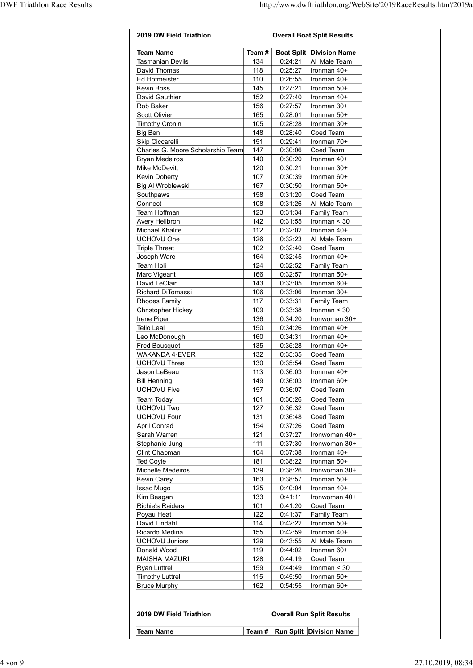|                                                      |            |                    | http://www.dwftriathlon.org/WebSite/2019RaceResults.htm?2019a |
|------------------------------------------------------|------------|--------------------|---------------------------------------------------------------|
|                                                      |            |                    |                                                               |
| 2019 DW Field Triathlon                              |            |                    | <b>Overall Boat Split Results</b>                             |
| <b>Team Name</b>                                     | Team#      |                    | <b>Boat Split Division Name</b>                               |
| Tasmanian Devils                                     | 134        | 0:24:21            | All Male Team                                                 |
| David Thomas<br>Ed Hofmeister                        | 118<br>110 | 0:25:27<br>0:26:55 | Ironman 40+<br>Ironman 40+                                    |
| <b>Kevin Boss</b>                                    | 145        | 0:27:21            | Ironman 50+                                                   |
| David Gauthier<br>Rob Baker                          | 152<br>156 | 0:27:40            | Ironman 40+                                                   |
| Scott Olivier                                        | 165        | 0:27:57<br>0:28:01 | Ironman 30+<br>Ironman 50+                                    |
| <b>Timothy Cronin</b>                                | 105        | 0:28:28            | Ironman 30+                                                   |
| <b>Big Ben</b>                                       | 148        | 0:28:40            | Coed Team                                                     |
| Skip Ciccarelli<br>Charles G. Moore Scholarship Team | 151<br>147 | 0:29:41<br>0:30:06 | Ironman 70+<br>Coed Team                                      |
| <b>Bryan Medeiros</b>                                | 140        | 0:30:20            | Ironman 40+                                                   |
| Mike McDevitt<br><b>Kevin Doherty</b>                | 120<br>107 | 0:30:21<br>0:30:39 | Ironman 30+<br>Ironman 60+                                    |
| Big Al Wroblewski                                    | 167        | 0:30:50            | Ironman 50+                                                   |
| Southpaws<br>Connect                                 | 158<br>108 | 0:31:20<br>0:31:26 | Coed Team<br>All Male Team                                    |
| Team Hoffman                                         | 123        | 0:31:34            | Family Team                                                   |
| Avery Heilbron                                       | 142        | 0:31:55            | Ironman < 30                                                  |
| Michael Khalife<br>UCHOVU One                        | 112<br>126 | 0:32:02<br>0:32:23 | Ironman 40+<br>All Male Team                                  |
| <b>Triple Threat</b>                                 | 102        | 0:32:40            | Coed Team                                                     |
| Joseph Ware<br>Team Holi                             | 164<br>124 | 0:32:45<br>0:32:52 | Ironman 40+<br>Family Team                                    |
| Marc Vigeant                                         | 166        | 0:32:57            | Ironman 50+                                                   |
| David LeClair                                        | 143        | 0:33:05            | Ironman 60+                                                   |
| Richard DiTomassi<br><b>Rhodes Family</b>            | 106<br>117 | 0:33:06<br>0:33:31 | Ironman 30+<br>Family Team                                    |
| <b>Christopher Hickey</b>                            | 109        | 0:33:38            | Ironman < 30                                                  |
| Irene Piper                                          | 136<br>150 | 0:34:20            | Ironwoman 30+                                                 |
| <b>Telio Leal</b><br>Leo McDonough                   | 160        | 0:34:26<br>0:34:31 | Ironman 40+<br>Ironman 40+                                    |
| <b>Fred Bousquet</b>                                 | 135        | 0:35:28            | Ironman 40+                                                   |
| WAKANDA 4-EVER<br><b>UCHOVU Three</b>                | 132<br>130 | 0:35:35<br>0:35:54 | Coed Team<br>Coed Team                                        |
| Jason LeBeau                                         | 113        | 0:36:03            | Ironman 40+                                                   |
| <b>Bill Henning</b>                                  | 149        | 0:36:03            | Ironman 60+                                                   |
| <b>UCHOVU Five</b><br><b>Team Today</b>              | 157<br>161 | 0:36:07<br>0:36:26 | Coed Team<br>Coed Team                                        |
| <b>UCHOVU Two</b>                                    | 127        | 0:36:32            | Coed Team                                                     |
| <b>UCHOVU Four</b>                                   | 131        | 0:36:48            | Coed Team                                                     |
| <b>April Conrad</b><br>Sarah Warren                  | 154<br>121 | 0:37:26<br>0:37:27 | Coed Team<br>Ironwoman 40+                                    |
| Stephanie Jung                                       | 111        | 0:37:30            | Ironwoman 30+                                                 |
| Clint Chapman<br><b>Ted Coyle</b>                    | 104<br>181 | 0:37:38<br>0:38:22 | Ironman 40+<br>Ironman 50+                                    |
| Michelle Medeiros                                    | 139        | 0:38:26            | Ironwoman 30+                                                 |
| <b>Kevin Carey</b>                                   | 163        | 0:38:57            | Ironman 50+                                                   |
| <b>Issac Mugo</b><br>Kim Beagan                      | 125<br>133 | 0:40:04<br>0:41:11 | Ironman 40+<br>Ironwoman 40+                                  |
| <b>Richie's Raiders</b>                              | 101        | 0:41:20            | Coed Team                                                     |
| Poyau Heat<br>David Lindahl                          | 122<br>114 | 0:41:37<br>0:42:22 | Family Team<br>Ironman 50+                                    |
| Ricardo Medina                                       | 155        | 0:42:59            | Ironman 40+                                                   |
| <b>UCHOVU Juniors</b>                                | 129        | 0:43:55            | All Male Team                                                 |
| Donald Wood<br><b>MAISHA MAZURI</b>                  | 119<br>128 | 0:44:02<br>0:44:19 | Ironman 60+<br>Coed Team                                      |
| <b>Ryan Luttrell</b>                                 | 159        | 0:44:49            | Ironman < 30                                                  |
| <b>Timothy Luttrell</b>                              | 115        | 0:45:50            | Ironman 50+                                                   |
| <b>Bruce Murphy</b>                                  | 162        | 0:54:55            | Ironman 60+                                                   |
|                                                      |            |                    |                                                               |
| 2019 DW Field Triathlon                              |            |                    | <b>Overall Run Split Results</b>                              |
| <b>Team Name</b>                                     | Team # $ $ |                    | Run Split Division Name                                       |
|                                                      |            |                    |                                                               |
|                                                      |            |                    |                                                               |

| 2019 DW Field Triathlon |  | <b>Overall Run Split Results</b>   |
|-------------------------|--|------------------------------------|
| <b>Team Name</b>        |  | Team #   Run Split   Division Name |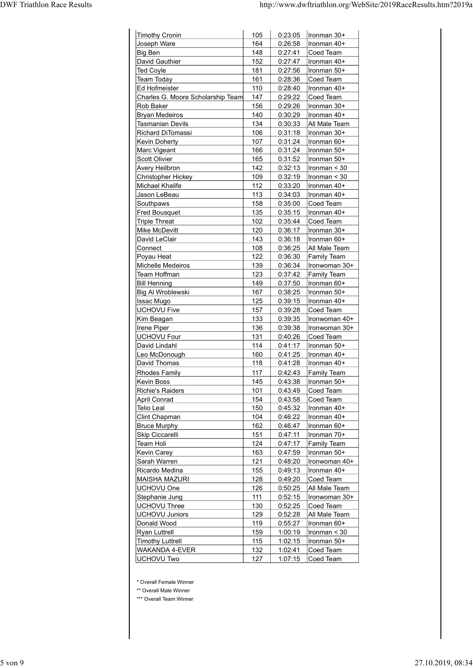|                                        |                   |                    | http://www.dwftriathlon.org/WebSite/2019RaceResults.htm?2019a |
|----------------------------------------|-------------------|--------------------|---------------------------------------------------------------|
|                                        |                   |                    |                                                               |
| Timothy Cronin                         | 105               | 0:23:05            | Ironman 30+                                                   |
| Joseph Ware                            | 164               | 0:26:58            | Ironman 40+                                                   |
| Big Ben                                | 148               | 0:27:41            | Coed Team                                                     |
| David Gauthier<br><b>Ted Coyle</b>     | 152<br>181        | 0:27:47<br>0:27:56 | Ironman 40+<br>Ironman 50+                                    |
| <b>Team Today</b>                      | 161               | 0:28:36            | Coed Team                                                     |
| <b>Ed Hofmeister</b>                   | 110               | 0:28:40            | Ironman 40+                                                   |
| Charles G. Moore Scholarship Team      | 147               | 0:29:22            | Coed Team                                                     |
| Rob Baker<br>Bryan Medeiros            | 156<br>140        | 0:29:26<br>0:30:29 | Ironman 30+<br>Ironman 40+                                    |
| <b>Tasmanian Devils</b>                | 134               | 0:30:33            | All Male Team                                                 |
| <b>Richard DiTomassi</b>               | 106               | 0:31:18            | Ironman 30+                                                   |
| <b>Kevin Doherty</b><br>Marc Vigeant   | 107<br>166        | 0:31:24<br>0:31:24 | Ironman 60+<br>Ironman 50+                                    |
| Scott Olivier                          | 165               | 0:31:52            | Ironman 50+                                                   |
| Avery Heilbron                         | 142               | 0:32:13            | Ironman < 30                                                  |
| Christopher Hickey                     | 109               | 0:32:19            | Ironman < 30                                                  |
| Michael Khalife<br>Jason LeBeau        | 112<br><u>113</u> | 0:33:20<br>0:34:03 | Ironman 40+<br>Ironman 40+                                    |
| Southpaws                              | 158               | 0:35:00            | Coed Team                                                     |
| <b>Fred Bousquet</b>                   | 135               | 0:35:15            | Ironman 40+                                                   |
| <b>Triple Threat</b><br>Mike McDevitt  | 102<br>120        | 0:35:44<br>0:36:17 | Coed Team<br>Ironman 30+                                      |
| David LeClair                          | 143               | 0:36:18            | Ironman 60+                                                   |
| Connect                                | 108               | 0:36:25            | All Male Team                                                 |
| Poyau Heat<br>Michelle Medeiros        | 122<br>139        | 0:36:30<br>0:36:34 | <b>Family Team</b><br>Ironwoman 30+                           |
| Team Hoffman                           | 123               | 0:37:42            | <b>Family Team</b>                                            |
| <b>Bill Henning</b>                    | 149               | 0:37:50            | Ironman 60+                                                   |
| Big Al Wroblewski                      | 167               | 0:38:25            | Ironman 50+                                                   |
| <b>Issac Mugo</b><br>UCHOVU Five       | 125<br>157        | 0:39:15<br>0:39:28 | Ironman 40+<br>Coed Team                                      |
| Kim Beagan                             | 133               | 0:39:35            | Ironwoman 40+                                                 |
| <b>Irene Piper</b>                     | 136               | 0:39:38            | Ironwoman 30+                                                 |
| UCHOVU Four<br>David Lindahl           | 131<br>114        | 0:40:26<br>0:41:17 | Coed Team<br>Ironman 50+                                      |
| Leo McDonough                          | 160               | 0:41:25            | Ironman 40+                                                   |
| David Thomas                           | 118               | 0:41:28            | Ironman 40+                                                   |
| <b>Rhodes Family</b>                   | 117               | 0:42:43            | <b>Family Team</b>                                            |
| Kevin Boss<br>Richie's Raiders         | 145<br>101        | 0:43:38<br>0:43:49 | Ironman 50+<br>Coed Team                                      |
| April Conrad                           | 154               | 0:43:58            | Coed Team                                                     |
| <b>Telio Leal</b>                      | 150               | 0:45:32            | Ironman 40+                                                   |
| Clint Chapman                          | 104<br>162        | 0:46:22<br>0:46:47 | Ironman 40+                                                   |
| <b>Bruce Murphy</b><br>Skip Ciccarelli | 151               | 0:47:11            | Ironman 60+<br>Ironman 70+                                    |
| Team Holi                              | 124               | 0:47:17            | <b>Family Team</b>                                            |
| Kevin Carey                            | 163               | 0:47:59            | Ironman 50+                                                   |
| Sarah Warren<br>Ricardo Medina         | 121<br>155        | 0:48:20<br>0:49:13 | Ironwoman 40+<br>Ironman 40+                                  |
| MAISHA MAZURI                          | 128               | 0:49:20            | Coed Team                                                     |
| UCHOVU One                             | 126               | 0:50:25            | All Male Team                                                 |
| Stephanie Jung<br><b>UCHOVU Three</b>  | 111<br>130        | 0:52:15<br>0:52:25 | Ironwoman 30+<br>Coed Team                                    |
| UCHOVU Juniors                         | 129               | 0:52:28            | All Male Team                                                 |
| Donald Wood                            | 119               | 0:55:27            | Ironman 60+                                                   |
|                                        | 159               | 1:00:19            | Ironman $<$ 30                                                |
| Ryan Luttrell                          | 115               | 1:02:15            |                                                               |
| Timothy Luttrell<br>WAKANDA 4-EVER     | 132               | 1:02:41            | Ironman 50+<br>Coed Team                                      |